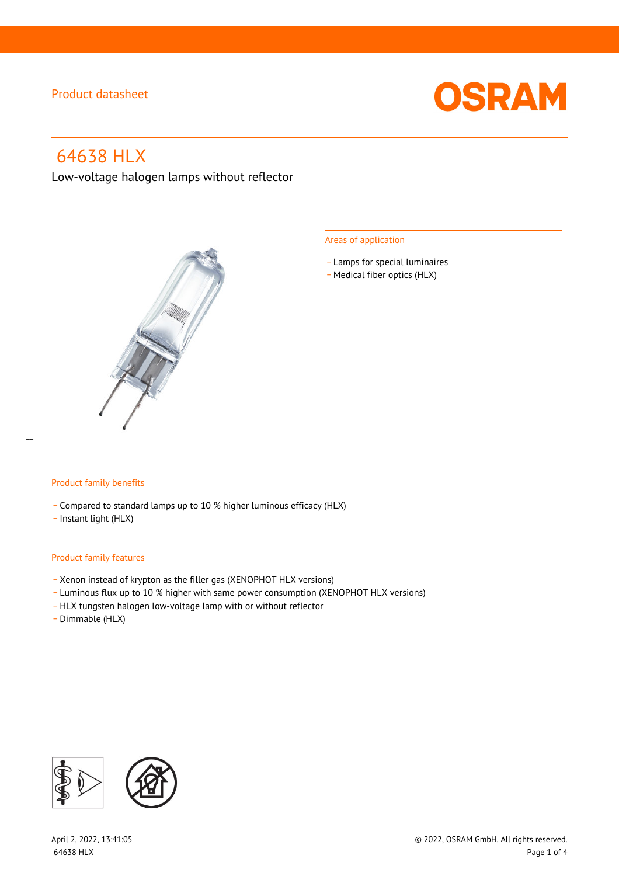

# 64638 HLX

Low-voltage halogen lamps without reflector



#### Areas of application

- Lamps for special luminaires
- Medical fiber optics (HLX)

#### Product family benefits

- \_ Compared to standard lamps up to 10 % higher luminous efficacy (HLX)
- \_ Instant light (HLX)

#### Product family features

- \_ Xenon instead of krypton as the filler gas (XENOPHOT HLX versions)
- \_ Luminous flux up to 10 % higher with same power consumption (XENOPHOT HLX versions)
- HLX tungsten halogen low-voltage lamp with or without reflector
- \_ Dimmable (HLX)

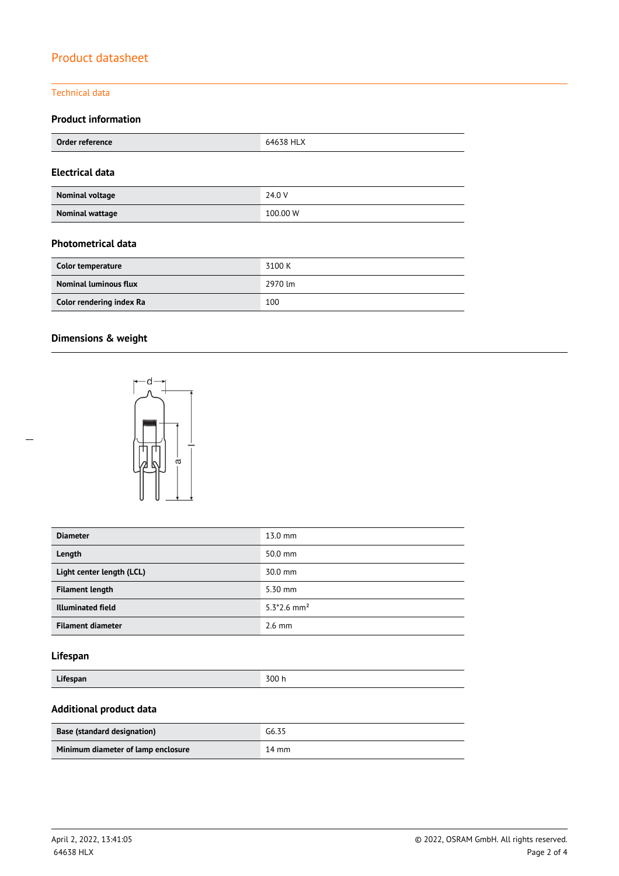#### Technical data

### **Product information**

| Order reference        | 64638 HLX |
|------------------------|-----------|
| <b>Electrical data</b> |           |
| Nominal voltage        | 24.0 V    |
| <b>Nominal wattage</b> | 100.00 W  |

#### **Photometrical data**

| Color temperature            | 3100 K  |
|------------------------------|---------|
| <b>Nominal luminous flux</b> | 2970 lm |
| Color rendering index Ra     | 100     |

### **Dimensions & weight**



| <b>Diameter</b>           | 13.0 mm                   |
|---------------------------|---------------------------|
| Length                    | 50.0 mm                   |
| Light center length (LCL) | 30.0 mm                   |
| <b>Filament length</b>    | 5.30 mm                   |
| <b>Illuminated field</b>  | $5.3*2.6$ mm <sup>2</sup> |
| <b>Filament diameter</b>  | $2.6 \text{ mm}$          |

### **Lifespan**

| $\cdots$ |       |
|----------|-------|
| Lifespan | 300 h |
|          |       |

### **Additional product data**

| <b>Base (standard designation)</b> | G6.35 |
|------------------------------------|-------|
| Minimum diameter of lamp enclosure | 14 mm |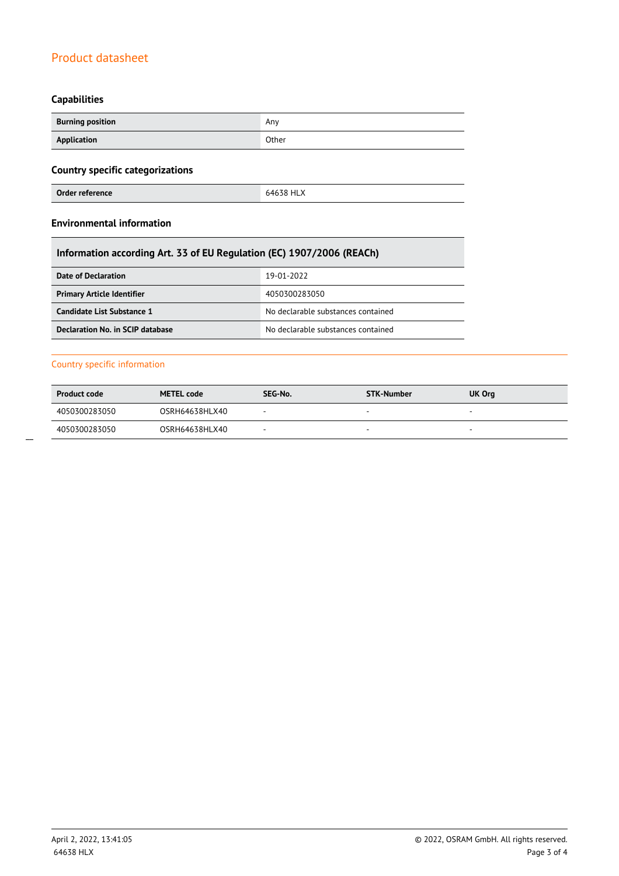### **Capabilities**

| <b>Burning position</b> | Any   |
|-------------------------|-------|
| Application             | Other |

### **Country specific categorizations**

| Order reference | 64638 HLX |
|-----------------|-----------|
|                 |           |

### **Environmental information**

### **Information according Art. 33 of EU Regulation (EC) 1907/2006 (REACh)**

| Date of Declaration               | 19-01-2022                         |  |
|-----------------------------------|------------------------------------|--|
| <b>Primary Article Identifier</b> | 4050300283050                      |  |
| Candidate List Substance 1        | No declarable substances contained |  |
| Declaration No. in SCIP database  | No declarable substances contained |  |

#### Country specific information

| <b>Product code</b> | <b>METEL code</b> | SEG-No. | STK-Number | UK Org |
|---------------------|-------------------|---------|------------|--------|
| 4050300283050       | OSRH64638HLX40    |         |            |        |
| 4050300283050       | OSRH64638HLX40    | -       | -          |        |